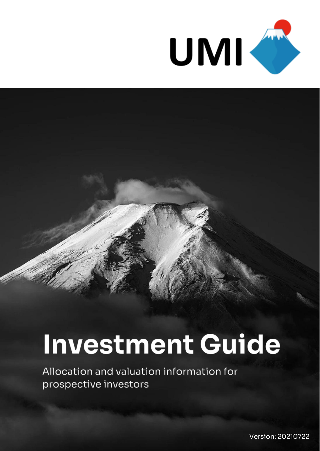

#### **Investment Guide**

Allocation and valuation information for prospective investors

Version: 20210722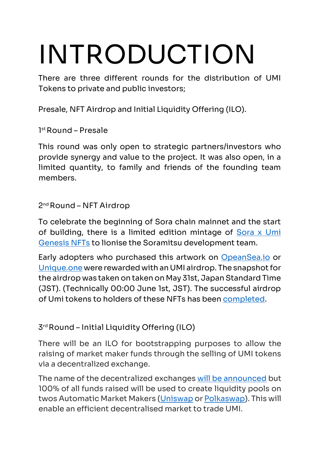# **INTRODUCTION**

There are three different rounds for the distribution of UMI Tokens to private and public investors;

Presale, NFT Airdrop and Initial Liquidity Offering (ILO).

**1 st Round – Presale**

This round was only open to strategic partners/investors who provide synergy and value to the project. It was also open, in a limited quantity, to family and friends of the founding team members.

#### **2 nd Round – NFT Airdrop**

To celebrate the beginning of Sora chain mainnet and the start of building, there is a limited edition mintage of Sora x Umi [Genesis](https://umi.digital/genesis/) NFTs to lionise the Soramitsu development team.

Early adopters who purchased this artwork on [OpeanSea.io](https://opensea.io/UMI-Minter) or [Unique.one](https://v2.unique.one/profile/umi) were rewarded with an UMI airdrop. The snapshot for the airdrop was taken on taken on May 31st, Japan Standard Time (JST). (Technically 00:00 June 1st, JST). The successful airdrop of Umi tokens to holders of these NFTs has been [completed.](https://umi-digital.medium.com/umi-airdrop-is-coming-dcf16fff135f)

**3 rd Round – Initial Liquidity Offering (ILO)**

There will be an ILO for bootstrapping purposes to allow the raising of market maker funds through the selling of UMI tokens via a decentralized exchange.

The name of the decentralized exchanges [will be announced](https://umi.digital/ilo/) but 100% of all funds raised will be used to create liquidity pools on twos Automatic Market Makers [\(Uniswap](https://app.uniswap.org/#/swap) or [Polkaswap\)](https://app.uniswap.org/#/swap). This will enable an efficient decentralised market to trade UMI.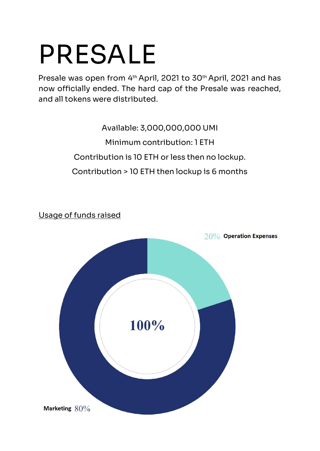#### **PRESALE**

Presale was open from 4<sup>th</sup> April, 2021 to 30<sup>th</sup> April, 2021 and has now officially ended. The hard cap of the Presale was reached, and all tokens were distributed.

> Available: 3,000,000,000 UMI Minimum contribution: 1 ETH Contribution is 10 ETH or less then no lockup. Contribution > 10 ETH then lockup is 6 months

20% Operation Expenses 100% Marketing  $80\%$ 

Usage of funds raised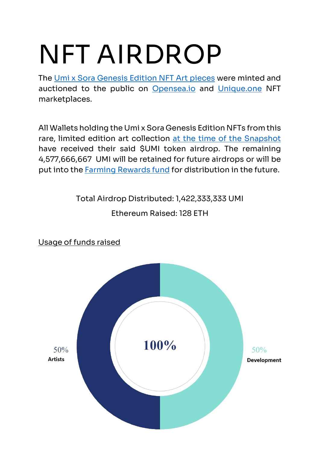### **NFT AIRDROP**

The [Umi x Sora Genesis Edition NFT Art](https://umi.digital/genesis/) pieces were minted and auctioned to the public on [Opensea.io](https://opensea.io/UMI-Minter) and [Unique.one](https://v2.unique.one/profile/umi) NFT marketplaces.

All Wallets holding the Umi x Sora Genesis Edition NFTs from this rare, limited edition art collection at [the time of the](https://umi-digital.medium.com/umi-airdrop-is-coming-dcf16fff135f) Snapshot have received their said \$UMI token airdrop. The remaining 4,577,666,667 UMI will be retained for future airdrops or will be put into the **Farming Rewards fund** for distribution in the future.

> Total Airdrop Distributed: 1,422,333,333 UMI Ethereum Raised: 128 ETH

100%  $50%$  $50%$ **Artists Development** 

Usage of funds raised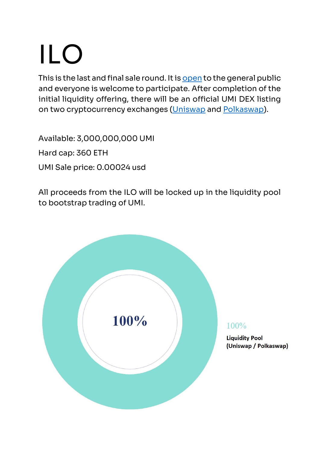## **ILO**

This is the last and final sale round. It i[s open](https://umi.digital/ilo/) to the general public and everyone is welcome to participate. After completion of the initial liquidity offering, there will be an official UMI DEX listing on two cryptocurrency exchanges [\(Uniswap](https://app.uniswap.org/#/swap) and [Polkaswap\)](https://app.uniswap.org/#/swap).

Available: 3,000,000,000 UMI

Hard cap: 360 ETH

UMI Sale price: 0.00024 usd

All proceeds from the ILO will be locked up in the liquidity pool to bootstrap trading of UMI.